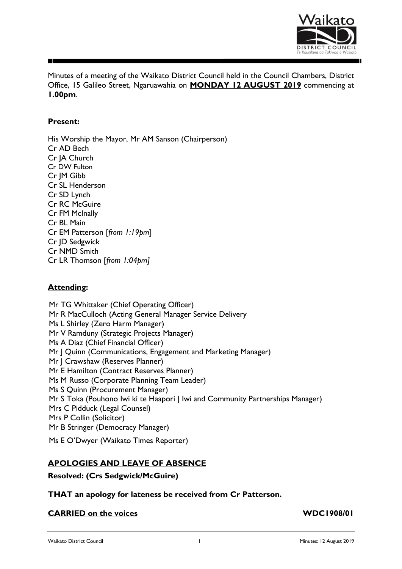

Minutes of a meeting of the Waikato District Council held in the Council Chambers, District Office, 15 Galileo Street, Ngaruawahia on **MONDAY 12 AUGUST 2019** commencing at **1.00pm**.

# **Present:**

His Worship the Mayor, Mr AM Sanson (Chairperson) Cr AD Bech Cr JA Church Cr DW Fulton Cr JM Gibb Cr SL Henderson Cr SD Lynch Cr RC McGuire Cr FM McInally Cr BL Main Cr EM Patterson [*from 1:19pm*] Cr JD Sedgwick Cr NMD Smith Cr LR Thomson [*from 1:04pm]*

# **Attending:**

Mr TG Whittaker (Chief Operating Officer) Mr R MacCulloch (Acting General Manager Service Delivery Ms L Shirley (Zero Harm Manager) Mr V Ramduny (Strategic Projects Manager) Ms A Diaz (Chief Financial Officer) Mr | Quinn (Communications, Engagement and Marketing Manager) Mr | Crawshaw (Reserves Planner) Mr E Hamilton (Contract Reserves Planner) Ms M Russo (Corporate Planning Team Leader) Ms S Quinn (Procurement Manager) Mr S Toka (Pouhono Iwi ki te Haapori | Iwi and Community Partnerships Manager) Mrs C Pidduck (Legal Counsel) Mrs P Collin (Solicitor) Mr B Stringer (Democracy Manager)

Ms E O'Dwyer (Waikato Times Reporter)

# **APOLOGIES AND LEAVE OF ABSENCE**

**Resolved: (Crs Sedgwick/McGuire)**

**THAT an apology for lateness be received from Cr Patterson.**

# **CARRIED** on the voices **WDC1908/01**

Waikato District Council **1** Minutes: 12 August 2019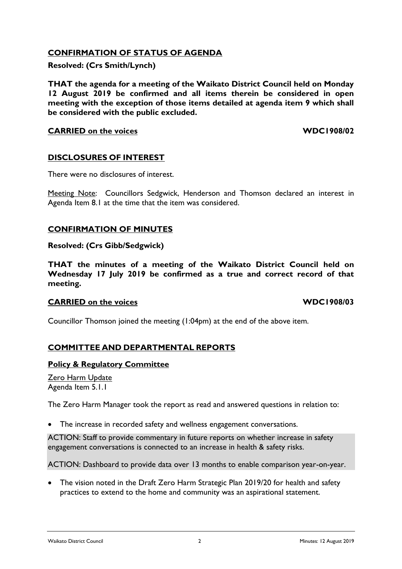# **CONFIRMATION OF STATUS OF AGENDA**

**Resolved: (Crs Smith/Lynch)**

**THAT the agenda for a meeting of the Waikato District Council held on Monday 12 August 2019 be confirmed and all items therein be considered in open meeting with the exception of those items detailed at agenda item 9 which shall be considered with the public excluded.**

## **CARRIED on the voices WDC1908/02**

# **DISCLOSURES OF INTEREST**

There were no disclosures of interest.

Meeting Note: Councillors Sedgwick, Henderson and Thomson declared an interest in Agenda Item 8.1 at the time that the item was considered.

# **CONFIRMATION OF MINUTES**

**Resolved: (Crs Gibb/Sedgwick)**

**THAT the minutes of a meeting of the Waikato District Council held on Wednesday 17 July 2019 be confirmed as a true and correct record of that meeting.**

# **CARRIED** on the voices **WDC1908/03**

Councillor Thomson joined the meeting (1:04pm) at the end of the above item.

# **COMMITTEE AND DEPARTMENTAL REPORTS**

## **Policy & Regulatory Committee**

Zero Harm Update Agenda Item 5.1.1

The Zero Harm Manager took the report as read and answered questions in relation to:

• The increase in recorded safety and wellness engagement conversations.

ACTION: Staff to provide commentary in future reports on whether increase in safety engagement conversations is connected to an increase in health & safety risks.

ACTION: Dashboard to provide data over 13 months to enable comparison year-on-year.

• The vision noted in the Draft Zero Harm Strategic Plan 2019/20 for health and safety practices to extend to the home and community was an aspirational statement.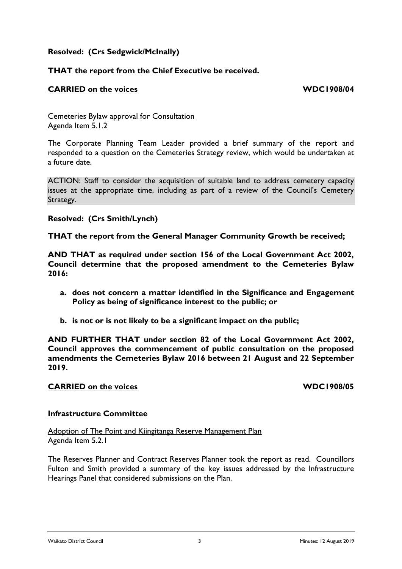# **Resolved: (Crs Sedgwick/McInally)**

# **THAT the report from the Chief Executive be received.**

## **CARRIED on the voices WDC1908/04**

Cemeteries Bylaw approval for Consultation Agenda Item 5.1.2

The Corporate Planning Team Leader provided a brief summary of the report and responded to a question on the Cemeteries Strategy review, which would be undertaken at a future date.

ACTION: Staff to consider the acquisition of suitable land to address cemetery capacity issues at the appropriate time, including as part of a review of the Council's Cemetery Strategy.

**Resolved: (Crs Smith/Lynch)**

**THAT the report from the General Manager Community Growth be received;** 

**AND THAT as required under section 156 of the Local Government Act 2002, Council determine that the proposed amendment to the Cemeteries Bylaw 2016:**

- **a. does not concern a matter identified in the Significance and Engagement Policy as being of significance interest to the public; or**
- **b. is not or is not likely to be a significant impact on the public;**

**AND FURTHER THAT under section 82 of the Local Government Act 2002, Council approves the commencement of public consultation on the proposed amendments the Cemeteries Bylaw 2016 between 21 August and 22 September 2019.**

## **CARRIED on the voices WDC1908/05**

## **Infrastructure Committee**

Adoption of The Point and Kiingitanga Reserve Management Plan Agenda Item 5.2.1

The Reserves Planner and Contract Reserves Planner took the report as read. Councillors Fulton and Smith provided a summary of the key issues addressed by the Infrastructure Hearings Panel that considered submissions on the Plan.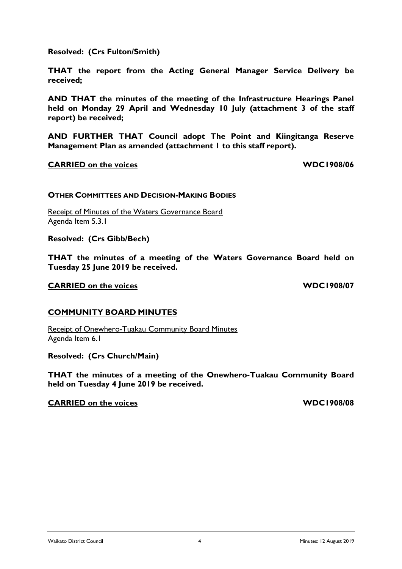**report) be received;**

**received;**

**AND FURTHER THAT Council adopt The Point and Kiingitanga Reserve Management Plan as amended (attachment 1 to this staff report).**

**THAT the report from the Acting General Manager Service Delivery be** 

**AND THAT the minutes of the meeting of the Infrastructure Hearings Panel held on Monday 29 April and Wednesday 10 July (attachment 3 of the staff** 

### **CARRIED on the voices WDC1908/06**

**Resolved: (Crs Fulton/Smith)**

### **OTHER COMMITTEES AND DECISION-MAKING BODIES**

Receipt of Minutes of the Waters Governance Board Agenda Item 5.3.1

**Resolved: (Crs Gibb/Bech)**

**THAT the minutes of a meeting of the Waters Governance Board held on Tuesday 25 June 2019 be received.**

### **CARRIED** on the voices **WDC1908/07**

### **COMMUNITY BOARD MINUTES**

Receipt of Onewhero-Tuakau Community Board Minutes Agenda Item 6.1

**Resolved: (Crs Church/Main)**

**THAT the minutes of a meeting of the Onewhero-Tuakau Community Board held on Tuesday 4 June 2019 be received.**

### **CARRIED** on the voices **WDC1908/08**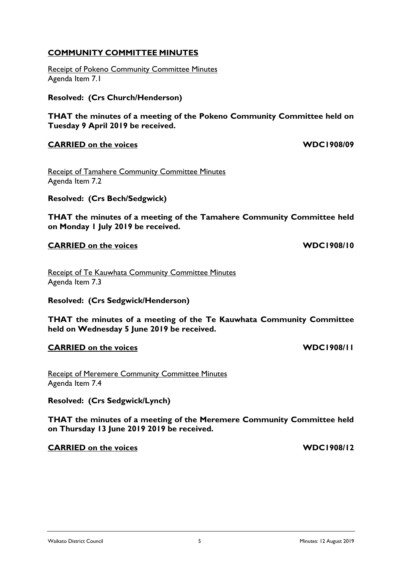# **COMMUNITY COMMITTEE MINUTES**

Receipt of Pokeno Community Committee Minutes Agenda Item 7.1

**Resolved: (Crs Church/Henderson)**

**THAT the minutes of a meeting of the Pokeno Community Committee held on Tuesday 9 April 2019 be received.**

# **CARRIED on the voices WDC1908/09**

Receipt of Tamahere Community Committee Minutes Agenda Item 7.2

**Resolved: (Crs Bech/Sedgwick)**

**THAT the minutes of a meeting of the Tamahere Community Committee held on Monday 1 July 2019 be received.**

# **CARRIED** on the voices **WDC1908/10**

Receipt of Te Kauwhata Community Committee Minutes Agenda Item 7.3

**Resolved: (Crs Sedgwick/Henderson)**

**THAT the minutes of a meeting of the Te Kauwhata Community Committee held on Wednesday 5 June 2019 be received.**

# **CARRIED** on the voices **WDC1908/11**

Receipt of Meremere Community Committee Minutes Agenda Item 7.4

**Resolved: (Crs Sedgwick/Lynch)**

**THAT the minutes of a meeting of the Meremere Community Committee held on Thursday 13 June 2019 2019 be received.**

# **CARRIED on the voices WDC1908/12**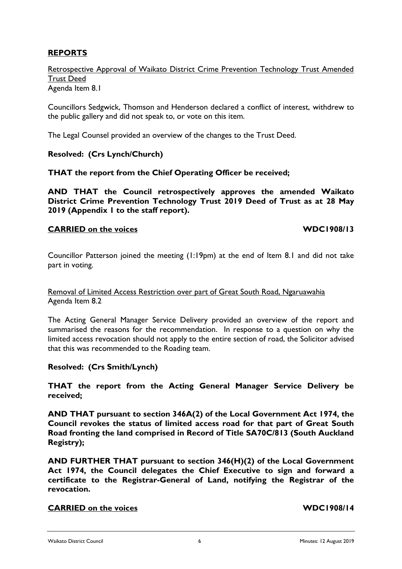# **REPORTS**

Retrospective Approval of Waikato District Crime Prevention Technology Trust Amended Trust Deed Agenda Item 8.1

Councillors Sedgwick, Thomson and Henderson declared a conflict of interest, withdrew to the public gallery and did not speak to, or vote on this item.

The Legal Counsel provided an overview of the changes to the Trust Deed.

**Resolved: (Crs Lynch/Church)**

**THAT the report from the Chief Operating Officer be received;** 

**AND THAT the Council retrospectively approves the amended Waikato District Crime Prevention Technology Trust 2019 Deed of Trust as at 28 May 2019 (Appendix 1 to the staff report).**

## **CARRIED on the voices WDC1908/13**

Councillor Patterson joined the meeting (1:19pm) at the end of Item 8.1 and did not take part in voting.

Removal of Limited Access Restriction over part of Great South Road, Ngaruawahia Agenda Item 8.2

The Acting General Manager Service Delivery provided an overview of the report and summarised the reasons for the recommendation. In response to a question on why the limited access revocation should not apply to the entire section of road, the Solicitor advised that this was recommended to the Roading team.

**Resolved: (Crs Smith/Lynch)**

**THAT the report from the Acting General Manager Service Delivery be received;**

**AND THAT pursuant to section 346A(2) of the Local Government Act 1974, the Council revokes the status of limited access road for that part of Great South Road fronting the land comprised in Record of Title SA70C/813 (South Auckland Registry);**

**AND FURTHER THAT pursuant to section 346(H)(2) of the Local Government Act 1974, the Council delegates the Chief Executive to sign and forward a certificate to the Registrar-General of Land, notifying the Registrar of the revocation.**

## **CARRIED on the voices WDC1908/14**

Waikato District Council **6** Minutes: 12 August 2019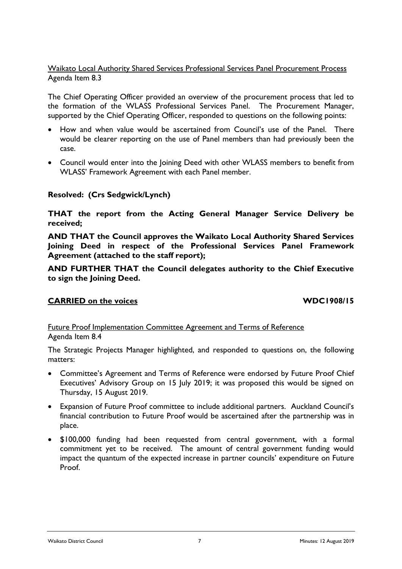# Waikato Local Authority Shared Services Professional Services Panel Procurement Process Agenda Item 8.3

The Chief Operating Officer provided an overview of the procurement process that led to the formation of the WLASS Professional Services Panel. The Procurement Manager, supported by the Chief Operating Officer, responded to questions on the following points:

- How and when value would be ascertained from Council's use of the Panel. There would be clearer reporting on the use of Panel members than had previously been the case.
- Council would enter into the Joining Deed with other WLASS members to benefit from WLASS' Framework Agreement with each Panel member.

# **Resolved: (Crs Sedgwick/Lynch)**

**THAT the report from the Acting General Manager Service Delivery be received;**

**AND THAT the Council approves the Waikato Local Authority Shared Services Joining Deed in respect of the Professional Services Panel Framework Agreement (attached to the staff report);**

**AND FURTHER THAT the Council delegates authority to the Chief Executive to sign the Joining Deed.**

# **CARRIED on the voices WDC1908/15**

Future Proof Implementation Committee Agreement and Terms of Reference Agenda Item 8.4

The Strategic Projects Manager highlighted, and responded to questions on, the following matters:

- Committee's Agreement and Terms of Reference were endorsed by Future Proof Chief Executives' Advisory Group on 15 July 2019; it was proposed this would be signed on Thursday, 15 August 2019.
- Expansion of Future Proof committee to include additional partners. Auckland Council's financial contribution to Future Proof would be ascertained after the partnership was in place.
- \$100,000 funding had been requested from central government, with a formal commitment yet to be received. The amount of central government funding would impact the quantum of the expected increase in partner councils' expenditure on Future Proof.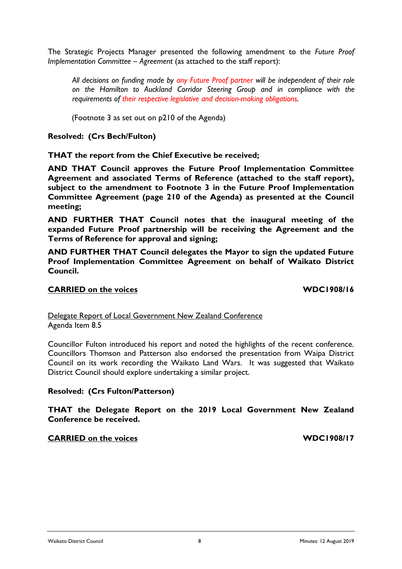The Strategic Projects Manager presented the following amendment to the *Future Proof Implementation Committee – Agreement* (as attached to the staff report):

*All decisions on funding made by any Future Proof partner will be independent of their role on the Hamilton to Auckland Corridor Steering Group and in compliance with the requirements of their respective legislative and decision-making obligations.* 

(Footnote 3 as set out on p210 of the Agenda)

**Resolved: (Crs Bech/Fulton)**

**THAT the report from the Chief Executive be received;**

**AND THAT Council approves the Future Proof Implementation Committee Agreement and associated Terms of Reference (attached to the staff report), subject to the amendment to Footnote 3 in the Future Proof Implementation Committee Agreement (page 210 of the Agenda) as presented at the Council meeting;**

**AND FURTHER THAT Council notes that the inaugural meeting of the expanded Future Proof partnership will be receiving the Agreement and the Terms of Reference for approval and signing;**

**AND FURTHER THAT Council delegates the Mayor to sign the updated Future Proof Implementation Committee Agreement on behalf of Waikato District Council.**

# **CARRIED** on the voices **WDC1908/16**

Delegate Report of Local Government New Zealand Conference Agenda Item 8.5

Councillor Fulton introduced his report and noted the highlights of the recent conference. Councillors Thomson and Patterson also endorsed the presentation from Waipa District Council on its work recording the Waikato Land Wars. It was suggested that Waikato District Council should explore undertaking a similar project.

**Resolved: (Crs Fulton/Patterson)**

**THAT the Delegate Report on the 2019 Local Government New Zealand Conference be received.**

**CARRIED on the voices WDC1908/17**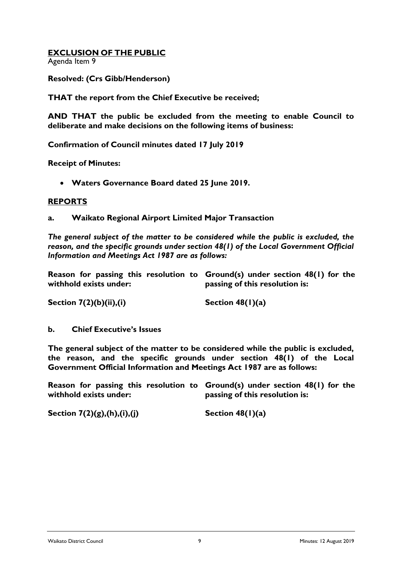# **EXCLUSION OF THE PUBLIC**

Agenda Item 9

**Resolved: (Crs Gibb/Henderson)**

**THAT the report from the Chief Executive be received;**

**AND THAT the public be excluded from the meeting to enable Council to deliberate and make decisions on the following items of business:**

**Confirmation of Council minutes dated 17 July 2019**

**Receipt of Minutes:**

**Waters Governance Board dated 25 June 2019.**

## **REPORTS**

**a. Waikato Regional Airport Limited Major Transaction**

*The general subject of the matter to be considered while the public is excluded, the reason, and the specific grounds under section 48(1) of the Local Government Official Information and Meetings Act 1987 are as follows:*

**Reason for passing this resolution to Ground(s) under section 48(1) for the withhold exists under: passing of this resolution is:**

**Section 7(2)(b)(ii),(i) Section 48(1)(a)**

**b. Chief Executive's Issues**

**The general subject of the matter to be considered while the public is excluded, the reason, and the specific grounds under section 48(1) of the Local Government Official Information and Meetings Act 1987 are as follows:**

**Reason for passing this resolution to Ground(s) under section 48(1) for the withhold exists under: passing of this resolution is:**

**Section 7(2)(g),(h),(i),(j) Section 48(1)(a)**